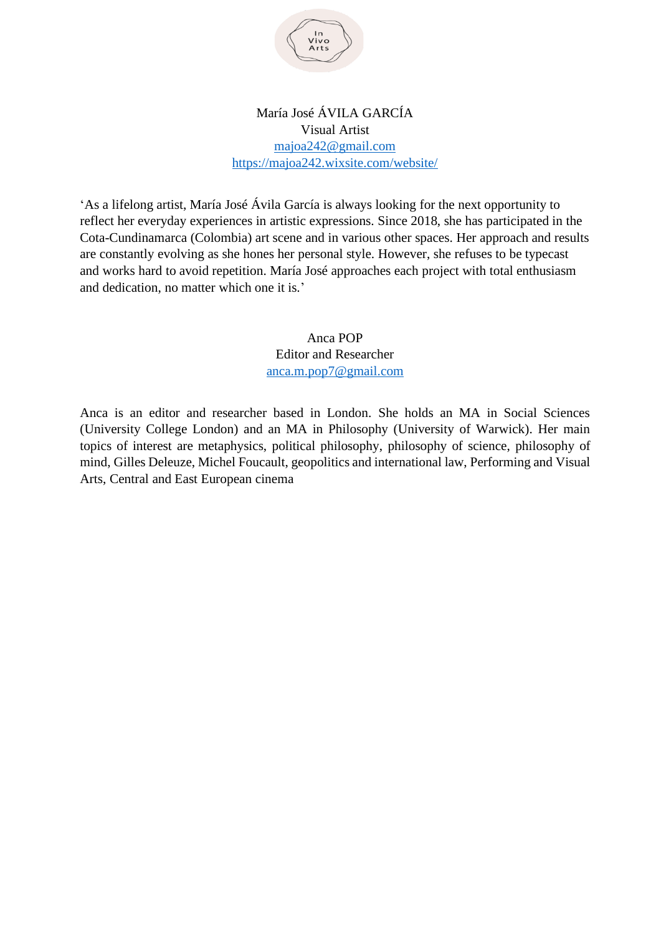

## María José ÁVILA GARCÍA Visual Artist [majoa242@gmail.com](mailto:majoa242@gmail.com) <https://majoa242.wixsite.com/website/>

'As a lifelong artist, María José Ávila García is always looking for the next opportunity to reflect her everyday experiences in artistic expressions. Since 2018, she has participated in the Cota-Cundinamarca (Colombia) art scene and in various other spaces. Her approach and results are constantly evolving as she hones her personal style. However, she refuses to be typecast and works hard to avoid repetition. María José approaches each project with total enthusiasm and dedication, no matter which one it is.'

> Anca POP Editor and Researcher [anca.m.pop7@gmail.com](mailto:anca.m.pop7@gmail.com)

Anca is an editor and researcher based in London. She holds an MA in Social Sciences (University College London) and an MA in Philosophy (University of Warwick). Her main topics of interest are metaphysics, political philosophy, philosophy of science, philosophy of mind, Gilles Deleuze, Michel Foucault, geopolitics and international law, Performing and Visual Arts, Central and East European cinema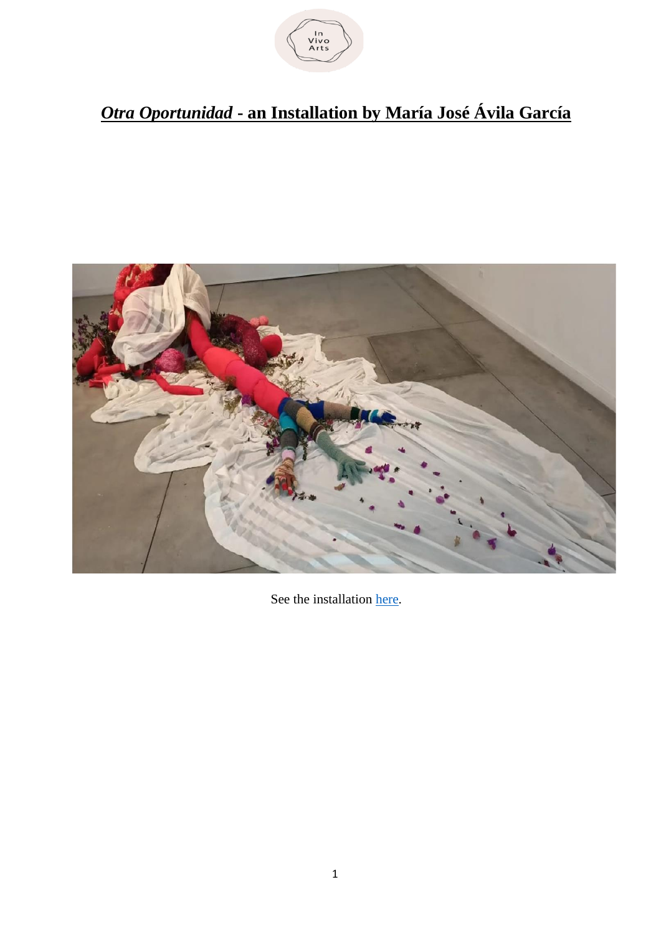

## *Otra Oportunidad* **- an Installation by María José Ávila García**



See the installation [here.](https://www.youtube.com/watch?v=eUNLX8n5D_Y)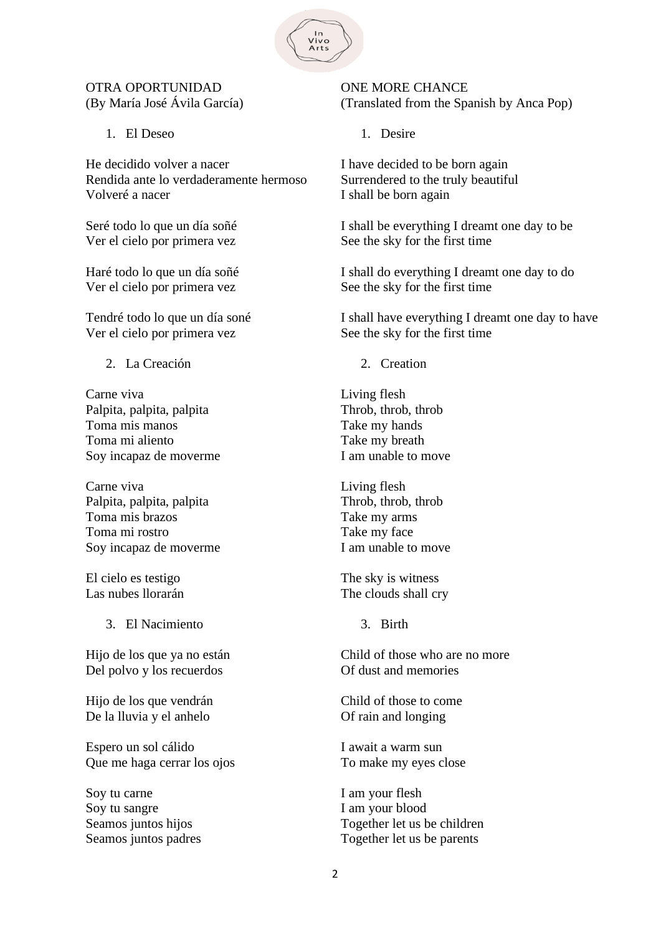

## OTRA OPORTUNIDAD (By María José Ávila García)

1. El Deseo

He decidido volver a nacer Rendida ante lo verdaderamente hermoso Volveré a nacer

Seré todo lo que un día soñé Ver el cielo por primera vez

Haré todo lo que un día soñé Ver el cielo por primera vez

Tendré todo lo que un día soné Ver el cielo por primera vez

2. La Creación

Carne viva Palpita, palpita, palpita Toma mis manos Toma mi aliento Soy incapaz de moverme

Carne viva Palpita, palpita, palpita Toma mis brazos Toma mi rostro Soy incapaz de moverme

El cielo es testigo Las nubes llorarán

3. El Nacimiento

Hijo de los que ya no están Del polvo y los recuerdos

Hijo de los que vendrán De la lluvia y el anhelo

Espero un sol cálido Que me haga cerrar los ojos

Soy tu carne Soy tu sangre Seamos juntos hijos Seamos juntos padres

ONE MORE CHANCE (Translated from the Spanish by Anca Pop)

1. Desire

I have decided to be born again Surrendered to the truly beautiful I shall be born again

I shall be everything I dreamt one day to be See the sky for the first time

I shall do everything I dreamt one day to do See the sky for the first time

I shall have everything I dreamt one day to have See the sky for the first time

2. Creation

Living flesh Throb, throb, throb Take my hands Take my breath I am unable to move

Living flesh Throb, throb, throb Take my arms Take my face I am unable to move

The sky is witness The clouds shall cry

3. Birth

Child of those who are no more Of dust and memories

Child of those to come Of rain and longing

I await a warm sun To make my eyes close

I am your flesh I am your blood Together let us be children Together let us be parents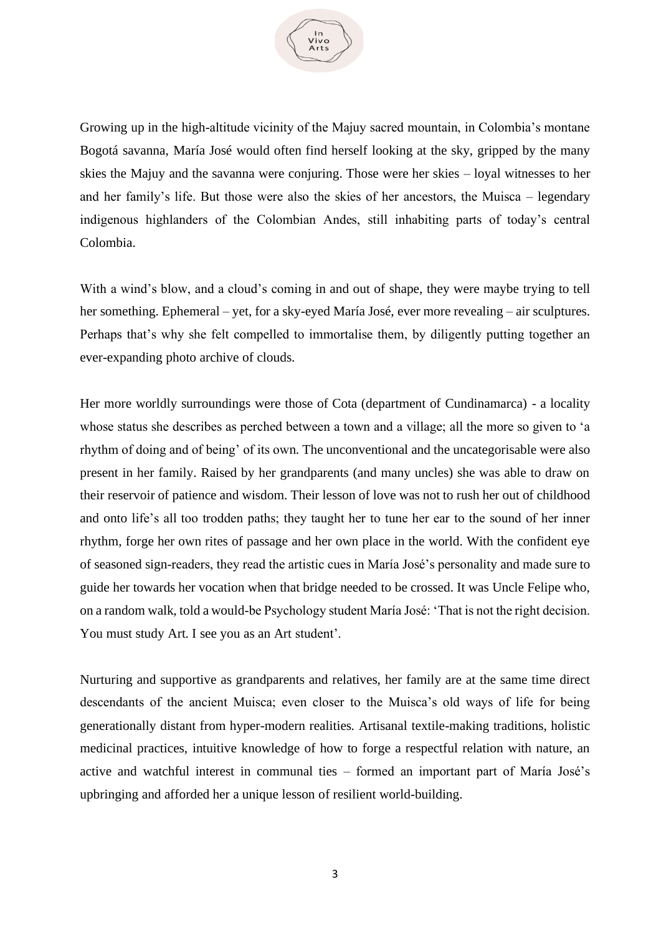

Growing up in the high-altitude vicinity of the Majuy sacred mountain, in Colombia's montane Bogotá savanna, María José would often find herself looking at the sky, gripped by the many skies the Majuy and the savanna were conjuring. Those were her skies – loyal witnesses to her and her family's life. But those were also the skies of her ancestors, the Muisca – legendary indigenous highlanders of the Colombian Andes, still inhabiting parts of today's central Colombia.

With a wind's blow, and a cloud's coming in and out of shape, they were maybe trying to tell her something. Ephemeral – yet, for a sky-eyed María José, ever more revealing – air sculptures. Perhaps that's why she felt compelled to immortalise them, by diligently putting together an ever-expanding photo archive of clouds.

Her more worldly surroundings were those of Cota (department of Cundinamarca) - a locality whose status she describes as perched between a town and a village; all the more so given to 'a rhythm of doing and of being' of its own. The unconventional and the uncategorisable were also present in her family. Raised by her grandparents (and many uncles) she was able to draw on their reservoir of patience and wisdom. Their lesson of love was not to rush her out of childhood and onto life's all too trodden paths; they taught her to tune her ear to the sound of her inner rhythm, forge her own rites of passage and her own place in the world. With the confident eye of seasoned sign-readers, they read the artistic cues in María José's personality and made sure to guide her towards her vocation when that bridge needed to be crossed. It was Uncle Felipe who, on a random walk, told a would-be Psychology student María José: 'That is not the right decision. You must study Art. I see you as an Art student'.

Nurturing and supportive as grandparents and relatives, her family are at the same time direct descendants of the ancient Muisca; even closer to the Muisca's old ways of life for being generationally distant from hyper-modern realities. Artisanal textile-making traditions, holistic medicinal practices, intuitive knowledge of how to forge a respectful relation with nature, an active and watchful interest in communal ties – formed an important part of María José's upbringing and afforded her a unique lesson of resilient world-building.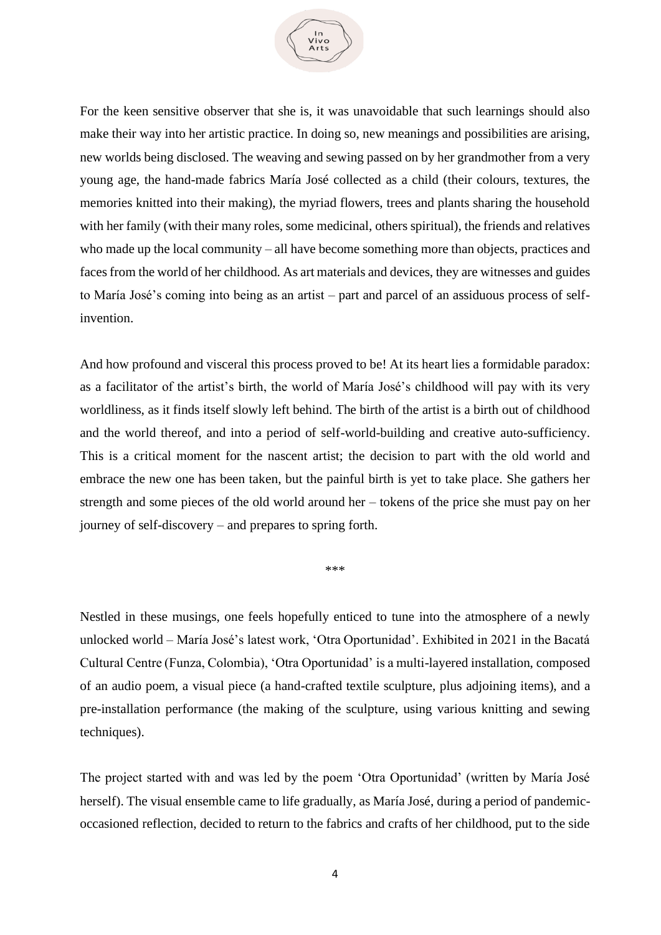

For the keen sensitive observer that she is, it was unavoidable that such learnings should also make their way into her artistic practice. In doing so, new meanings and possibilities are arising, new worlds being disclosed. The weaving and sewing passed on by her grandmother from a very young age, the hand-made fabrics María José collected as a child (their colours, textures, the memories knitted into their making), the myriad flowers, trees and plants sharing the household with her family (with their many roles, some medicinal, others spiritual), the friends and relatives who made up the local community – all have become something more than objects, practices and faces from the world of her childhood. As art materials and devices, they are witnesses and guides to María José's coming into being as an artist – part and parcel of an assiduous process of selfinvention.

And how profound and visceral this process proved to be! At its heart lies a formidable paradox: as a facilitator of the artist's birth, the world of María José's childhood will pay with its very worldliness, as it finds itself slowly left behind. The birth of the artist is a birth out of childhood and the world thereof, and into a period of self-world-building and creative auto-sufficiency. This is a critical moment for the nascent artist; the decision to part with the old world and embrace the new one has been taken, but the painful birth is yet to take place. She gathers her strength and some pieces of the old world around her – tokens of the price she must pay on her journey of self-discovery – and prepares to spring forth.

\*\*\*

Nestled in these musings, one feels hopefully enticed to tune into the atmosphere of a newly unlocked world – María José's latest work, 'Otra Oportunidad'. Exhibited in 2021 in the Bacatá Cultural Centre (Funza, Colombia), 'Otra Oportunidad' is a multi-layered installation, composed of an audio poem, a visual piece (a hand-crafted textile sculpture, plus adjoining items), and a pre-installation performance (the making of the sculpture, using various knitting and sewing techniques).

The project started with and was led by the poem 'Otra Oportunidad' (written by María José herself). The visual ensemble came to life gradually, as María José, during a period of pandemicoccasioned reflection, decided to return to the fabrics and crafts of her childhood, put to the side